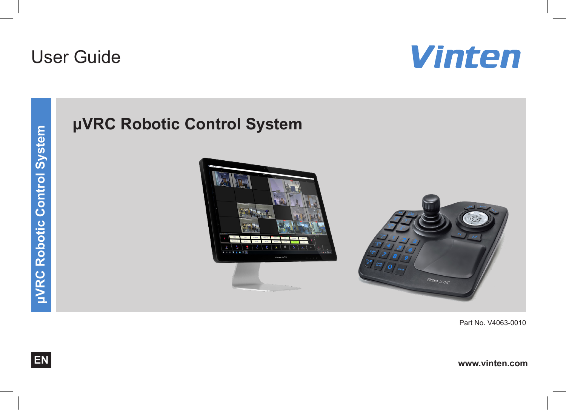# User Guide



# **μVRC Robotic Control System**



Part No. V4063-0010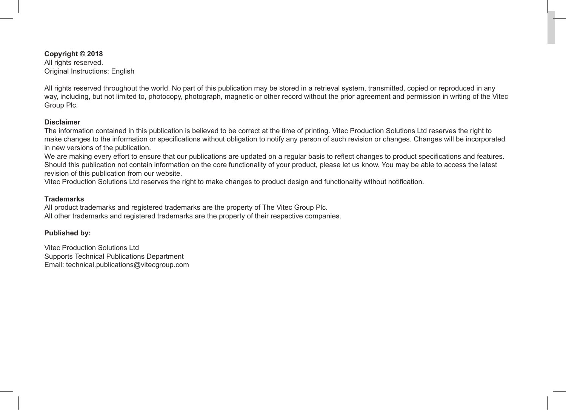**Copyright © 2018** All rights reserved. Original Instructions: English

All rights reserved throughout the world. No part of this publication may be stored in a retrieval system, transmitted, copied or reproduced in any way, including, but not limited to, photocopy, photograph, magnetic or other record without the prior agreement and permission in writing of the Vitec Group Plc.

#### **Disclaimer**

The information contained in this publication is believed to be correct at the time of printing. Vitec Production Solutions Ltd reserves the right to make changes to the information or specifications without obligation to notify any person of such revision or changes. Changes will be incorporated in new versions of the publication.

We are making every effort to ensure that our publications are updated on a regular basis to reflect changes to product specifications and features. Should this publication not contain information on the core functionality of your product, please let us know. You may be able to access the latest revision of this publication from our website.

Vitec Production Solutions Ltd reserves the right to make changes to product design and functionality without notification.

#### **Trademarks**

All product trademarks and registered trademarks are the property of The Vitec Group Plc. All other trademarks and registered trademarks are the property of their respective companies.

#### **Published by:**

Vitec Production Solutions Ltd Supports Technical Publications Department Email: technical.publications@vitecgroup.com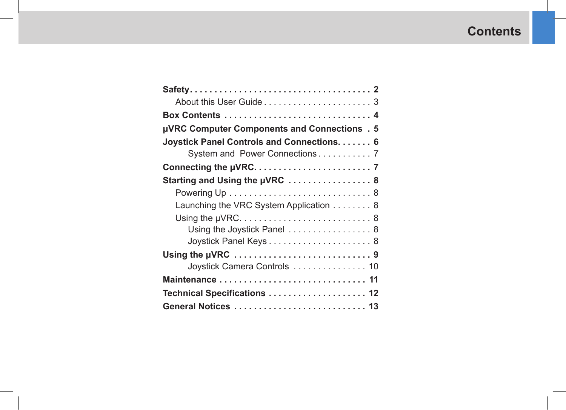## **Contents**

| µVRC Computer Components and Connections . 5     |
|--------------------------------------------------|
| <b>Joystick Panel Controls and Connections 6</b> |
| System and Power Connections 7                   |
|                                                  |
| Starting and Using the µVRC  8                   |
|                                                  |
| Launching the VRC System Application 8           |
|                                                  |
| Using the Joystick Panel  8                      |
| Joystick Panel Keys 8                            |
| Using the µVRC 9                                 |
| Joystick Camera Controls 10                      |
|                                                  |
| Technical Specifications  12                     |
|                                                  |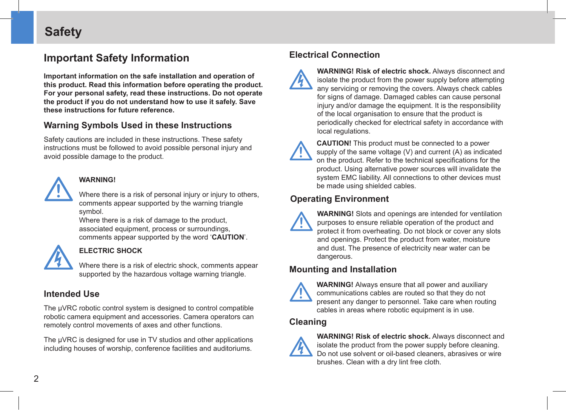### <span id="page-3-0"></span>**Safety**

### **Important Safety Information**

**Important information on the safe installation and operation of this product. Read this information before operating the product. For your personal safety, read these instructions. Do not operate the product if you do not understand how to use it safely. Save these instructions for future reference.**

### **Warning Symbols Used in these Instructions**

Safety cautions are included in these instructions. These safety instructions must be followed to avoid possible personal injury and avoid possible damage to the product.



#### **WARNING!**

Where there is a risk of personal injury or injury to others, comments appear supported by the warning triangle symbol.

Where there is a risk of damage to the product, associated equipment, process or surroundings, comments appear supported by the word '**CAUTION**'.



#### **ELECTRIC SHOCK**

Where there is a risk of electric shock, comments appear supported by the hazardous voltage warning triangle.

#### **Intended Use**

The μVRC robotic control system is designed to control compatible robotic camera equipment and accessories. Camera operators can remotely control movements of axes and other functions.

The μVRC is designed for use in TV studios and other applications including houses of worship, conference facilities and auditoriums.

### **Electrical Connection**



**WARNING! Risk of electric shock.** Always disconnect and isolate the product from the power supply before attempting any servicing or removing the covers. Always check cables for signs of damage. Damaged cables can cause personal injury and/or damage the equipment. It is the responsibility of the local organisation to ensure that the product is periodically checked for electrical safety in accordance with local regulations.



**CAUTION!** This product must be connected to a power supply of the same voltage (V) and current (A) as indicated on the product. Refer to the technical specifications for the product. Using alternative power sources will invalidate the system EMC liability. All connections to other devices must be made using shielded cables.

### **Operating Environment**



**WARNING!** Slots and openings are intended for ventilation purposes to ensure reliable operation of the product and protect it from overheating. Do not block or cover any slots and openings. Protect the product from water, moisture and dust. The presence of electricity near water can be dangerous.

#### **Mounting and Installation**



**WARNING!** Always ensure that all power and auxiliary communications cables are routed so that they do not present any danger to personnel. Take care when routing cables in areas where robotic equipment is in use.

#### **Cleaning**



**WARNING! Risk of electric shock.** Always disconnect and isolate the product from the power supply before cleaning. Do not use solvent or oil-based cleaners, abrasives or wire brushes. Clean with a dry lint free cloth.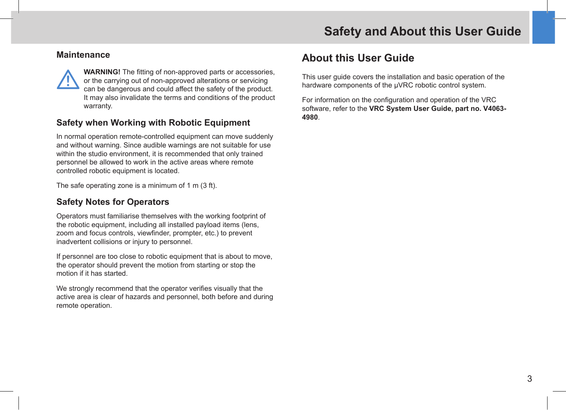#### <span id="page-4-0"></span>**Maintenance**

**!**

**WARNING!** The fitting of non-approved parts or accessories, or the carrying out of non-approved alterations or servicing can be dangerous and could affect the safety of the product. It may also invalidate the terms and conditions of the product warranty.

#### **Safety when Working with Robotic Equipment**

In normal operation remote-controlled equipment can move suddenly and without warning. Since audible warnings are not suitable for use within the studio environment, it is recommended that only trained personnel be allowed to work in the active areas where remote controlled robotic equipment is located.

The safe operating zone is a minimum of 1 m (3 ft).

### **Safety Notes for Operators**

Operators must familiarise themselves with the working footprint of the robotic equipment, including all installed payload items (lens, zoom and focus controls, viewfinder, prompter, etc.) to prevent inadvertent collisions or injury to personnel.

If personnel are too close to robotic equipment that is about to move, the operator should prevent the motion from starting or stop the motion if it has started.

We strongly recommend that the operator verifies visually that the active area is clear of hazards and personnel, both before and during remote operation.

### **About this User Guide**

This user guide covers the installation and basic operation of the hardware components of the μVRC robotic control system.

For information on the configuration and operation of the VRC software, refer to the **VRC System User Guide, part no. V4063- 4980**.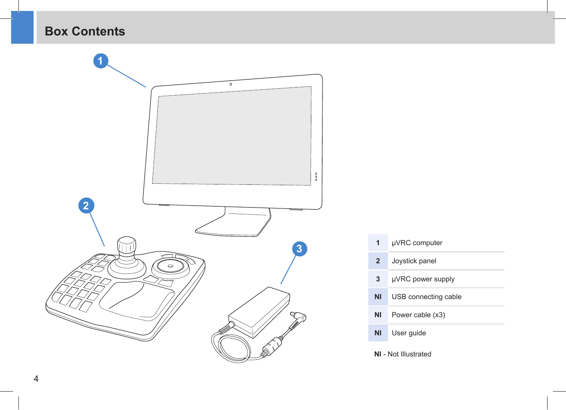<span id="page-5-0"></span>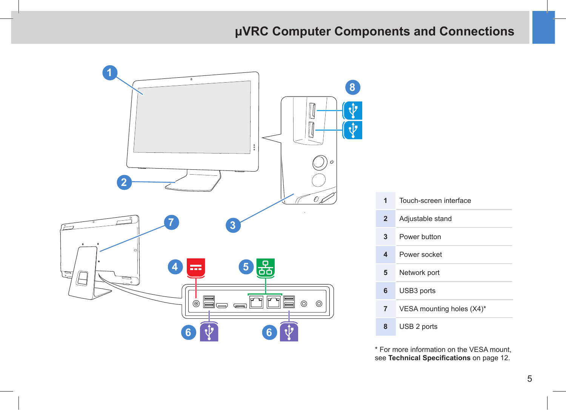### <span id="page-6-1"></span>**μVRC Computer Components and Connections**

<span id="page-6-0"></span>

\* For more information on the VESA mount, see **[Technical Specifications](#page-13-1)** on page 12.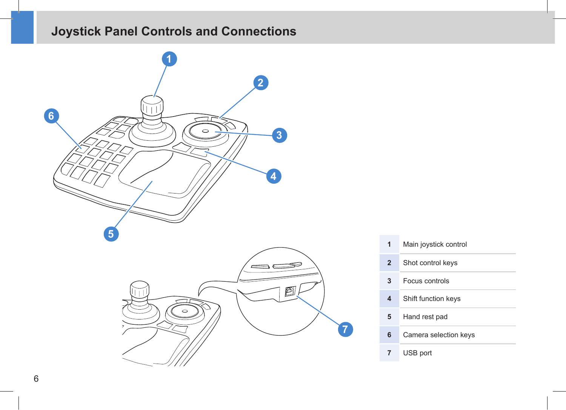## <span id="page-7-0"></span>**Joystick Panel Controls and Connections**





| 1            | Main joystick control |
|--------------|-----------------------|
| $\mathbf{2}$ | Shot control keys     |
| 3            | Focus controls        |
| 4            | Shift function keys   |
| 5            | Hand rest pad         |
| 6            | Camera selection keys |
|              | USB port              |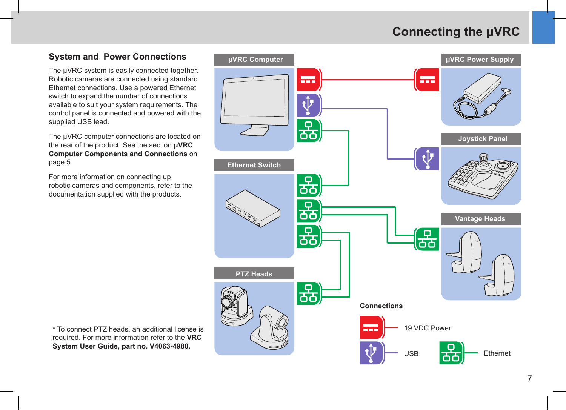### **Connecting the μVRC**

### <span id="page-8-0"></span>**System and Power Connections**

The μVRC system is easily connected together. Robotic cameras are connected using standard Ethernet connections. Use a powered Ethernet switch to expand the number of connections available to suit your system requirements. The control panel is connected and powered with the supplied USB lead.

The μVRC computer connections are located on the rear of the product. See the section **[μVRC](#page-6-1)  [Computer Components and Connections](#page-6-1)** on [page 5](#page-6-1)

For more information on connecting up robotic cameras and components, refer to the documentation supplied with the products.



\* To connect PTZ heads, an additional license is required. For more information refer to the **VRC System User Guide, part no. V4063-4980.**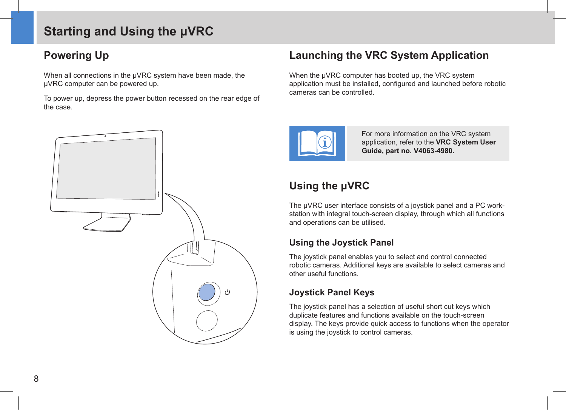### <span id="page-9-0"></span>**Starting and Using the μVRC**

### **Powering Up**

When all connections in the μVRC system have been made, the μVRC computer can be powered up.

To power up, depress the power button recessed on the rear edge of the case.



### **Launching the VRC System Application**

When the μVRC computer has booted up, the VRC system application must be installed, configured and launched before robotic cameras can be controlled.



For more information on the VRC system application, refer to the **VRC System User Guide, part no. V4063-4980.**

### **Using the μVRC**

The μVRC user interface consists of a joystick panel and a PC workstation with integral touch-screen display, through which all functions and operations can be utilised.

### **Using the Joystick Panel**

The joystick panel enables you to select and control connected robotic cameras. Additional keys are available to select cameras and other useful functions.

### **Joystick Panel Keys**

The joystick panel has a selection of useful short cut keys which duplicate features and functions available on the touch-screen display. The keys provide quick access to functions when the operator is using the joystick to control cameras.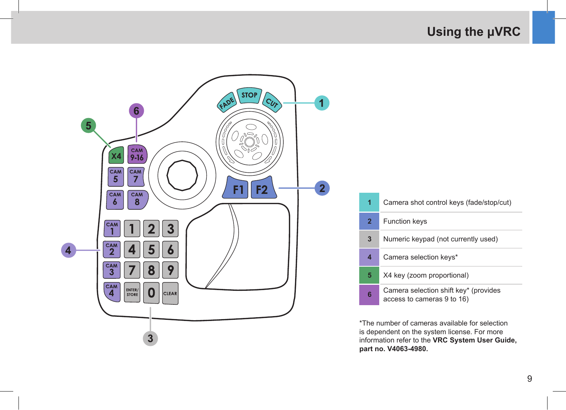### **Using the μVRC**

<span id="page-10-0"></span>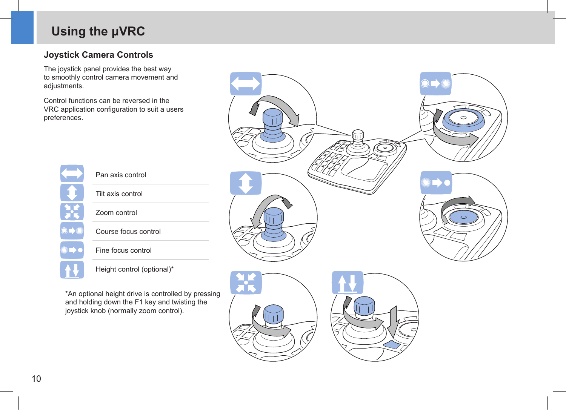### <span id="page-11-0"></span>**Using the μVRC**

### **Joystick Camera Controls**

The joystick panel provides the best way to smoothly control camera movement and adjustments.

Control functions can be reversed in the VRC application configuration to suit a users preferences.



| Tilt axis control |  |
|-------------------|--|
| Zoom control      |  |

Pan axis control

Course focus control

Fine focus control

Height control (optional)\*

\*An optional height drive is controlled by pressing and holding down the F1 key and twisting the joystick knob (normally zoom control).

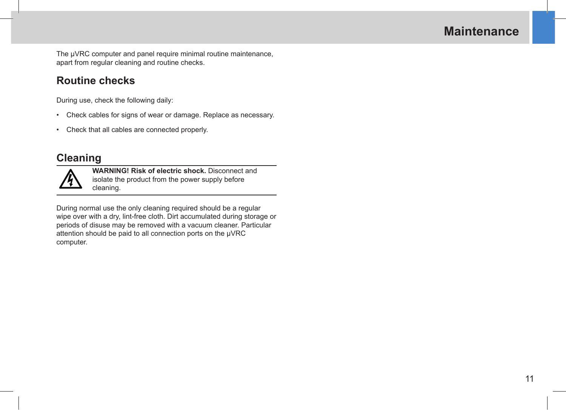### **Maintenance**

<span id="page-12-0"></span>The μVRC computer and panel require minimal routine maintenance, apart from regular cleaning and routine checks.

### **Routine checks**

During use, check the following daily:

- Check cables for signs of wear or damage. Replace as necessary.
- Check that all cables are connected properly.

### **Cleaning**



**WARNING! Risk of electric shock.** Disconnect and isolate the product from the power supply before cleaning.

During normal use the only cleaning required should be a regular wipe over with a dry, lint-free cloth. Dirt accumulated during storage or periods of disuse may be removed with a vacuum cleaner. Particular attention should be paid to all connection ports on the μVRC computer.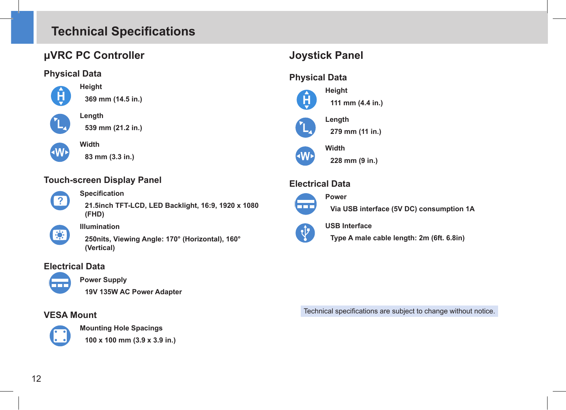### <span id="page-13-1"></span><span id="page-13-0"></span>**Technical Specifications**

### **μVRC PC Controller**

### **Physical Data**



**Height**



**Length**

**Width**



**539 mm (21.2 in.)**



**83 mm (3.3 in.)**

### **Touch-screen Display Panel**



- **Specification**
- **21.5inch TFT-LCD, LED Backlight, 16:9, 1920 x 1080 (FHD)**



#### **Illumination**

**250nits, Viewing Angle: 170° (Horizontal), 160° (Vertical)**

### **Electrical Data**



#### **Power Supply**

**19V 135W AC Power Adapter**

### **VESA Mount**



**Mounting Hole Spacings**

**100 x 100 mm (3.9 x 3.9 in.)**

### **Joystick Panel**

### **Physical Data**



**111 mm (4.4 in.)**



**Width 228 mm (9 in.)**

**Power**

### **Electrical Data**



**Via USB interface (5V DC) consumption 1A**

#### **USB Interface** Q.

**Type A male cable length: 2m (6ft. 6.8in)**

Technical specifications are subject to change without notice.